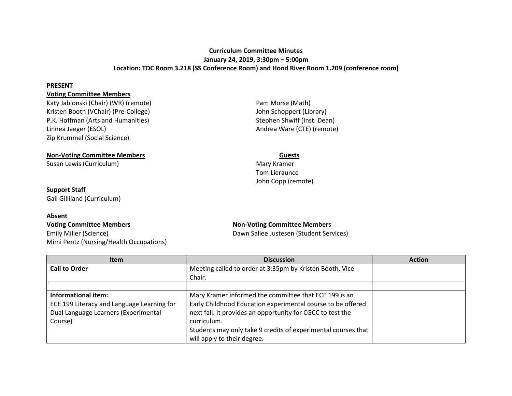# **Curriculum Committee Minutes January 24, 2019, 3:30pm – 5:00pm Location: TDC Room 3.218 (SS Conference Room) and Hood River Room 1.209 (conference room)**

#### **PRESENT**

## **Voting Committee Members**

Katy Jablonski (Chair) (WR) (remote) **Pam Morse (Math)** Pam Morse (Math) Kristen Booth (VChair) (Pre-College) and Schoppert (Library) John Schoppert (Library) P.K. Hoffman (Arts and Humanities) Stephen Shwiff (Inst. Dean) Linnea Jaeger (ESOL) and the Controller Controller Andrea Ware (CTE) (remote) Zip Krummel (Social Science)

#### **Non-Voting Committee Members Guests**

Susan Lewis (Curriculum) and the control of the control of the Mary Kramer Mary Kramer

## **Support Staff**

Gail Gilliland (Curriculum)

### **Absent**

Emily Miller (Science) **Emily Miller (Science)** Dawn Sallee Justesen (Student Services) Mimi Pentz (Nursing/Health Occupations)

Tom Lieraunce John Copp (remote)

## **Voting Committee Members Non-Voting Committee Members**

| <b>Item</b>                                | <b>Discussion</b>                                             | <b>Action</b> |
|--------------------------------------------|---------------------------------------------------------------|---------------|
| <b>Call to Order</b>                       | Meeting called to order at 3:35pm by Kristen Booth, Vice      |               |
|                                            | Chair.                                                        |               |
|                                            |                                                               |               |
| Informational item:                        | Mary Kramer informed the committee that ECE 199 is an         |               |
| ECE 199 Literacy and Language Learning for | Early Childhood Education experimental course to be offered   |               |
| Dual Language Learners (Experimental       | next fall. It provides an opportunity for CGCC to test the    |               |
| Course)                                    | curriculum.                                                   |               |
|                                            | Students may only take 9 credits of experimental courses that |               |
|                                            | will apply to their degree.                                   |               |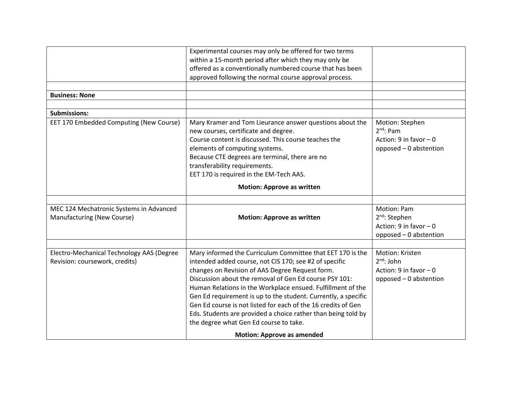|                                                                             | Experimental courses may only be offered for two terms<br>within a 15-month period after which they may only be<br>offered as a conventionally numbered course that has been                                                                                                                                                                                                                                                                                                                                                                                                        |                                                                                                        |
|-----------------------------------------------------------------------------|-------------------------------------------------------------------------------------------------------------------------------------------------------------------------------------------------------------------------------------------------------------------------------------------------------------------------------------------------------------------------------------------------------------------------------------------------------------------------------------------------------------------------------------------------------------------------------------|--------------------------------------------------------------------------------------------------------|
|                                                                             | approved following the normal course approval process.                                                                                                                                                                                                                                                                                                                                                                                                                                                                                                                              |                                                                                                        |
|                                                                             |                                                                                                                                                                                                                                                                                                                                                                                                                                                                                                                                                                                     |                                                                                                        |
| <b>Business: None</b>                                                       |                                                                                                                                                                                                                                                                                                                                                                                                                                                                                                                                                                                     |                                                                                                        |
|                                                                             |                                                                                                                                                                                                                                                                                                                                                                                                                                                                                                                                                                                     |                                                                                                        |
| Submissions:                                                                |                                                                                                                                                                                                                                                                                                                                                                                                                                                                                                                                                                                     |                                                                                                        |
| EET 170 Embedded Computing (New Course)                                     | Mary Kramer and Tom Lieurance answer questions about the<br>new courses, certificate and degree.<br>Course content is discussed. This course teaches the<br>elements of computing systems.<br>Because CTE degrees are terminal, there are no<br>transferability requirements.<br>EET 170 is required in the EM-Tech AAS.                                                                                                                                                                                                                                                            | Motion: Stephen<br>$2nd$ : Pam<br>Action: $9$ in favor $-0$<br>opposed - 0 abstention                  |
|                                                                             | <b>Motion: Approve as written</b>                                                                                                                                                                                                                                                                                                                                                                                                                                                                                                                                                   |                                                                                                        |
| MEC 124 Mechatronic Systems in Advanced<br>Manufacturing (New Course)       | <b>Motion: Approve as written</b>                                                                                                                                                                                                                                                                                                                                                                                                                                                                                                                                                   | <b>Motion: Pam</b><br>2 <sup>nd</sup> : Stephen<br>Action: $9$ in favor $-0$<br>opposed - 0 abstention |
| Electro-Mechanical Technology AAS (Degree<br>Revision: coursework, credits) | Mary informed the Curriculum Committee that EET 170 is the<br>intended added course, not CIS 170; see #2 of specific<br>changes on Revision of AAS Degree Request form.<br>Discussion about the removal of Gen Ed course PSY 101:<br>Human Relations in the Workplace ensued. Fulfillment of the<br>Gen Ed requirement is up to the student. Currently, a specific<br>Gen Ed course is not listed for each of the 16 credits of Gen<br>Eds. Students are provided a choice rather than being told by<br>the degree what Gen Ed course to take.<br><b>Motion: Approve as amended</b> | Motion: Kristen<br>$2^{nd}$ : John<br>Action: $9$ in favor $-0$<br>opposed - 0 abstention              |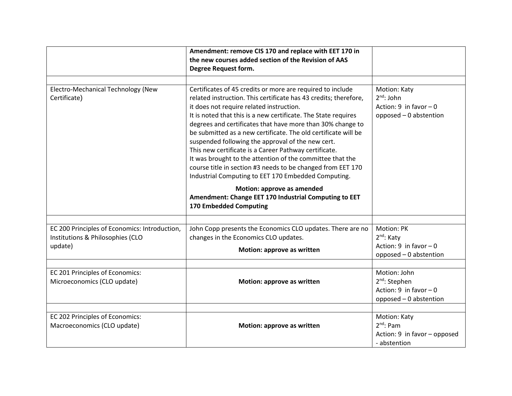|                                               | Amendment: remove CIS 170 and replace with EET 170 in            |                              |
|-----------------------------------------------|------------------------------------------------------------------|------------------------------|
|                                               | the new courses added section of the Revision of AAS             |                              |
|                                               | Degree Request form.                                             |                              |
|                                               |                                                                  |                              |
| Electro-Mechanical Technology (New            | Certificates of 45 credits or more are required to include       | Motion: Katy                 |
| Certificate)                                  | related instruction. This certificate has 43 credits; therefore, | $2^{nd}$ : John              |
|                                               | it does not require related instruction.                         | Action: 9 in favor $-0$      |
|                                               | It is noted that this is a new certificate. The State requires   | opposed - 0 abstention       |
|                                               | degrees and certificates that have more than 30% change to       |                              |
|                                               | be submitted as a new certificate. The old certificate will be   |                              |
|                                               | suspended following the approval of the new cert.                |                              |
|                                               | This new certificate is a Career Pathway certificate.            |                              |
|                                               | It was brought to the attention of the committee that the        |                              |
|                                               | course title in section #3 needs to be changed from EET 170      |                              |
|                                               | Industrial Computing to EET 170 Embedded Computing.              |                              |
|                                               | Motion: approve as amended                                       |                              |
|                                               | Amendment: Change EET 170 Industrial Computing to EET            |                              |
|                                               | 170 Embedded Computing                                           |                              |
|                                               |                                                                  |                              |
| EC 200 Principles of Economics: Introduction, | John Copp presents the Economics CLO updates. There are no       | Motion: PK                   |
| Institutions & Philosophies (CLO              | changes in the Economics CLO updates.                            | 2 <sup>nd</sup> : Katy       |
| update)                                       | Motion: approve as written                                       | Action: 9 in favor $-0$      |
|                                               |                                                                  | opposed - 0 abstention       |
|                                               |                                                                  |                              |
| EC 201 Principles of Economics:               |                                                                  | Motion: John                 |
| Microeconomics (CLO update)                   | Motion: approve as written                                       | 2 <sup>nd</sup> : Stephen    |
|                                               |                                                                  | Action: $9$ in favor $-0$    |
|                                               |                                                                  | opposed - 0 abstention       |
|                                               |                                                                  |                              |
| EC 202 Principles of Economics:               |                                                                  | Motion: Katy                 |
| Macroeconomics (CLO update)                   | Motion: approve as written                                       | $2^{nd}$ : Pam               |
|                                               |                                                                  | Action: 9 in favor - opposed |
|                                               |                                                                  | - abstention                 |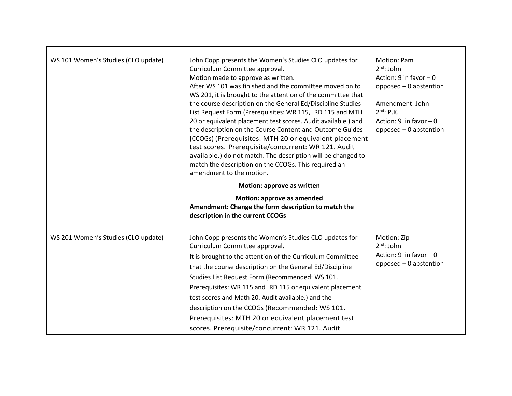| WS 101 Women's Studies (CLO update) | John Copp presents the Women's Studies CLO updates for                                                                    | Motion: Pam                        |
|-------------------------------------|---------------------------------------------------------------------------------------------------------------------------|------------------------------------|
|                                     | Curriculum Committee approval.                                                                                            | $2^{nd}$ : John                    |
|                                     | Motion made to approve as written.                                                                                        | Action: $9$ in favor $-0$          |
|                                     | After WS 101 was finished and the committee moved on to                                                                   | opposed - 0 abstention             |
|                                     | WS 201, it is brought to the attention of the committee that                                                              |                                    |
|                                     | the course description on the General Ed/Discipline Studies                                                               | Amendment: John<br>$2^{nd}$ : P.K. |
|                                     | List Request Form (Prerequisites: WR 115, RD 115 and MTH<br>20 or equivalent placement test scores. Audit available.) and | Action: $9$ in favor $-0$          |
|                                     | the description on the Course Content and Outcome Guides                                                                  | opposed - 0 abstention             |
|                                     | (CCOGs) (Prerequisites: MTH 20 or equivalent placement                                                                    |                                    |
|                                     | test scores. Prerequisite/concurrent: WR 121. Audit                                                                       |                                    |
|                                     | available.) do not match. The description will be changed to                                                              |                                    |
|                                     | match the description on the CCOGs. This required an                                                                      |                                    |
|                                     | amendment to the motion.                                                                                                  |                                    |
|                                     | Motion: approve as written                                                                                                |                                    |
|                                     | <b>Motion: approve as amended</b>                                                                                         |                                    |
|                                     | Amendment: Change the form description to match the                                                                       |                                    |
|                                     | description in the current CCOGs                                                                                          |                                    |
|                                     |                                                                                                                           |                                    |
|                                     |                                                                                                                           |                                    |
| WS 201 Women's Studies (CLO update) | John Copp presents the Women's Studies CLO updates for                                                                    | Motion: Zip                        |
|                                     | Curriculum Committee approval.                                                                                            | $2^{nd}$ : John                    |
|                                     | It is brought to the attention of the Curriculum Committee                                                                | Action: $9$ in favor $-0$          |
|                                     | that the course description on the General Ed/Discipline                                                                  | opposed - 0 abstention             |
|                                     | Studies List Request Form (Recommended: WS 101.                                                                           |                                    |
|                                     | Prerequisites: WR 115 and RD 115 or equivalent placement                                                                  |                                    |
|                                     | test scores and Math 20. Audit available.) and the                                                                        |                                    |
|                                     | description on the CCOGs (Recommended: WS 101.                                                                            |                                    |
|                                     | Prerequisites: MTH 20 or equivalent placement test                                                                        |                                    |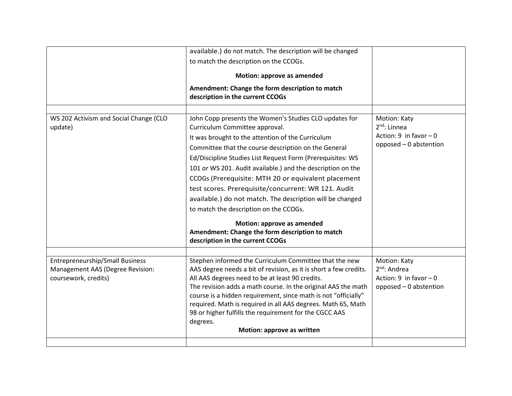|                                                                                                    | available.) do not match. The description will be changed                                                                                                                                                                                                                                                                                                                                                                                                                                                                                                                                                                                |                                                                                        |
|----------------------------------------------------------------------------------------------------|------------------------------------------------------------------------------------------------------------------------------------------------------------------------------------------------------------------------------------------------------------------------------------------------------------------------------------------------------------------------------------------------------------------------------------------------------------------------------------------------------------------------------------------------------------------------------------------------------------------------------------------|----------------------------------------------------------------------------------------|
|                                                                                                    | to match the description on the CCOGs.                                                                                                                                                                                                                                                                                                                                                                                                                                                                                                                                                                                                   |                                                                                        |
|                                                                                                    | Motion: approve as amended                                                                                                                                                                                                                                                                                                                                                                                                                                                                                                                                                                                                               |                                                                                        |
|                                                                                                    | Amendment: Change the form description to match<br>description in the current CCOGs                                                                                                                                                                                                                                                                                                                                                                                                                                                                                                                                                      |                                                                                        |
|                                                                                                    |                                                                                                                                                                                                                                                                                                                                                                                                                                                                                                                                                                                                                                          |                                                                                        |
| WS 202 Activism and Social Change (CLO<br>update)                                                  | John Copp presents the Women's Studies CLO updates for<br>Curriculum Committee approval.<br>It was brought to the attention of the Curriculum<br>Committee that the course description on the General<br>Ed/Discipline Studies List Request Form (Prerequisites: WS<br>101 or WS 201. Audit available.) and the description on the<br>CCOGs (Prerequisite: MTH 20 or equivalent placement<br>test scores. Prerequisite/concurrent: WR 121. Audit<br>available.) do not match. The description will be changed<br>to match the description on the CCOGs.<br>Motion: approve as amended<br>Amendment: Change the form description to match | Motion: Katy<br>$2nd$ : Linnea<br>Action: 9 in favor $-0$<br>opposed - 0 abstention    |
|                                                                                                    | description in the current CCOGs                                                                                                                                                                                                                                                                                                                                                                                                                                                                                                                                                                                                         |                                                                                        |
| <b>Entrepreneurship/Small Business</b><br>Management AAS (Degree Revision:<br>coursework, credits) | Stephen informed the Curriculum Committee that the new<br>AAS degree needs a bit of revision, as it is short a few credits.<br>All AAS degrees need to be at least 90 credits.<br>The revision adds a math course. In the original AAS the math<br>course is a hidden requirement, since math is not "officially"<br>required. Math is required in all AAS degrees. Math 65, Math<br>98 or higher fulfills the requirement for the CGCC AAS<br>degrees.<br>Motion: approve as written                                                                                                                                                    | Motion: Katy<br>$2^{nd}$ : Andrea<br>Action: 9 in favor $-0$<br>opposed - 0 abstention |
|                                                                                                    |                                                                                                                                                                                                                                                                                                                                                                                                                                                                                                                                                                                                                                          |                                                                                        |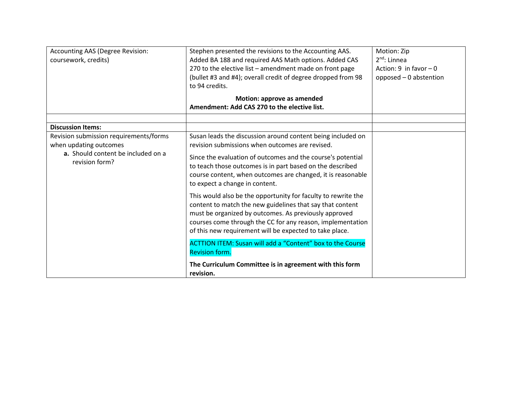| Accounting AAS (Degree Revision:<br>coursework, credits)                                                                 | Stephen presented the revisions to the Accounting AAS.<br>Added BA 188 and required AAS Math options. Added CAS<br>270 to the elective list - amendment made on front page<br>(bullet #3 and #4); overall credit of degree dropped from 98<br>to 94 credits.                                                                                | Motion: Zip<br>$2^{nd}$ : Linnea<br>Action: 9 in favor $-0$<br>opposed - 0 abstention |
|--------------------------------------------------------------------------------------------------------------------------|---------------------------------------------------------------------------------------------------------------------------------------------------------------------------------------------------------------------------------------------------------------------------------------------------------------------------------------------|---------------------------------------------------------------------------------------|
|                                                                                                                          | Motion: approve as amended<br>Amendment: Add CAS 270 to the elective list.                                                                                                                                                                                                                                                                  |                                                                                       |
| <b>Discussion Items:</b>                                                                                                 |                                                                                                                                                                                                                                                                                                                                             |                                                                                       |
| Revision submission requirements/forms<br>when updating outcomes<br>a. Should content be included on a<br>revision form? | Susan leads the discussion around content being included on<br>revision submissions when outcomes are revised.<br>Since the evaluation of outcomes and the course's potential<br>to teach those outcomes is in part based on the described<br>course content, when outcomes are changed, it is reasonable<br>to expect a change in content. |                                                                                       |
|                                                                                                                          | This would also be the opportunity for faculty to rewrite the<br>content to match the new guidelines that say that content<br>must be organized by outcomes. As previously approved<br>courses come through the CC for any reason, implementation<br>of this new requirement will be expected to take place.                                |                                                                                       |
|                                                                                                                          | <b>ACTTION ITEM: Susan will add a "Content" box to the Course</b><br><b>Revision form.</b>                                                                                                                                                                                                                                                  |                                                                                       |
|                                                                                                                          | The Curriculum Committee is in agreement with this form<br>revision.                                                                                                                                                                                                                                                                        |                                                                                       |